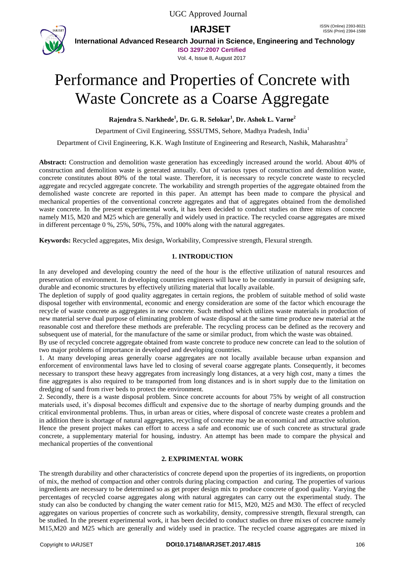

**International Advanced Research Journal in Science, Engineering and Technology**

**ISO 3297:2007 Certified**

Vol. 4, Issue 8, August 2017

# Performance and Properties of Concrete with Waste Concrete as a Coarse Aggregate

**Rajendra S. Narkhede<sup>1</sup> , Dr. G. R. Selokar<sup>1</sup> , Dr. Ashok L. Varne<sup>2</sup>**

Department of Civil Engineering, SSSUTMS, Sehore, Madhya Pradesh, India<sup>1</sup>

Department of Civil Engineering, K.K. Wagh Institute of Engineering and Research, Nashik, Maharashtra<sup>2</sup>

**Abstract:** Construction and demolition waste generation has exceedingly increased around the world. About 40% of construction and demolition waste is generated annually. Out of various types of construction and demolition waste, concrete constitutes about 80% of the total waste. Therefore, it is necessary to recycle concrete waste to recycled aggregate and recycled aggregate concrete. The workability and strength properties of the aggregate obtained from the demolished waste concrete are reported in this paper. An attempt has been made to compare the physical and mechanical properties of the conventional concrete aggregates and that of aggregates obtained from the demolished waste concrete. In the present experimental work, it has been decided to conduct studies on three mixes of concrete namely M15, M20 and M25 which are generally and widely used in practice. The recycled coarse aggregates are mixed in different percentage 0 %, 25%, 50%, 75%, and 100% along with the natural aggregates.

**Keywords:** Recycled aggregates, Mix design, Workability, Compressive strength, Flexural strength.

# **1. INTRODUCTION**

In any developed and developing country the need of the hour is the effective utilization of natural resources and preservation of environment. In developing countries engineers will have to be constantly in pursuit of designing safe, durable and economic structures by effectively utilizing material that locally available.

The depletion of supply of good quality aggregates in certain regions, the problem of suitable method of solid waste disposal together with environmental, economic and energy consideration are some of the factor which encourage the recycle of waste concrete as aggregates in new concrete. Such method which utilizes waste materials in production of new material serve dual purpose of eliminating problem of waste disposal at the same time produce new material at the reasonable cost and therefore these methods are preferable. The recycling process can be defined as the recovery and subsequent use of material, for the manufacture of the same or similar product, from which the waste was obtained.

By use of recycled concrete aggregate obtained from waste concrete to produce new concrete can lead to the solution of two major problems of importance in developed and developing countries.

1. At many developing areas generally coarse aggregates are not locally available because urban expansion and enforcement of environmental laws have led to closing of several coarse aggregate plants. Consequently, it becomes necessary to transport these heavy aggregates from increasingly long distances, at a very high cost, many a times the fine aggregates is also required to be transported from long distances and is in short supply due to the limitation on dredging of sand from river beds to protect the environment.

2. Secondly, there is a waste disposal problem. Since concrete accounts for about 75% by weight of all construction materials used, it's disposal becomes difficult and expensive due to the shortage of nearby dumping grounds and the critical environmental problems. Thus, in urban areas or cities, where disposal of concrete waste creates a problem and in addition there is shortage of natural aggregates, recycling of concrete may be an economical and attractive solution.

Hence the present project makes can effort to access a safe and economic use of such concrete as structural grade concrete, a supplementary material for housing, industry. An attempt has been made to compare the physical and mechanical properties of the conventional

# **2. EXPRIMENTAL WORK**

The strength durability and other characteristics of concrete depend upon the properties of its ingredients, on proportion of mix, the method of compaction and other controls during placing compaction and curing. The properties of various ingredients are necessary to be determined so as get proper design mix to produce concrete of good quality. Varying the percentages of recycled coarse aggregates along with natural aggregates can carry out the experimental study. The study can also be conducted by changing the water cement ratio for M15, M20, M25 and M30. The effect of recycled aggregates on various properties of concrete such as workability, density, compressive strength, flexural strength, can be studied. In the present experimental work, it has been decided to conduct studies on three mixes of concrete namely M15,M20 and M25 which are generally and widely used in practice. The recycled coarse aggregates are mixed in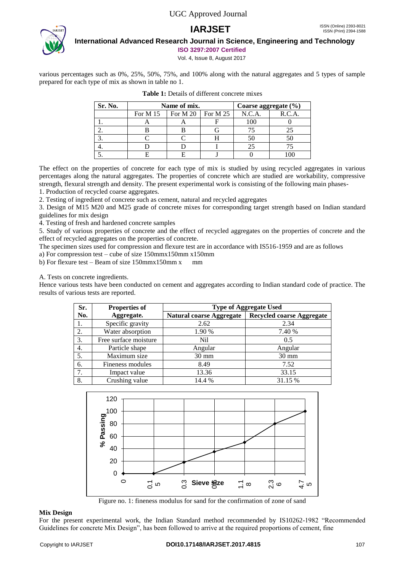

# **International Advanced Research Journal in Science, Engineering and Technology**

**ISO 3297:2007 Certified**

Vol. 4, Issue 8, August 2017

various percentages such as 0%, 25%, 50%, 75%, and 100% along with the natural aggregates and 5 types of sample prepared for each type of mix as shown in table no 1.

| Sr. No. |          | Name of mix.      | Coarse aggregate $(\% )$ |        |        |
|---------|----------|-------------------|--------------------------|--------|--------|
|         | For M 15 | For M 20 For M 25 |                          | N.C.A. | R.C.A. |
|         |          |                   |                          | 100    |        |
|         |          |                   |                          |        |        |
|         |          |                   |                          | 50     |        |
|         |          |                   |                          | 25     |        |
|         |          |                   |                          |        |        |

|--|

The effect on the properties of concrete for each type of mix is studied by using recycled aggregates in various percentages along the natural aggregates. The properties of concrete which are studied are workability, compressive strength, flexural strength and density. The present experimental work is consisting of the following main phases-

1. Production of recycled coarse aggregates.

2. Testing of ingredient of concrete such as cement, natural and recycled aggregates

3. Design of M15 M20 and M25 grade of concrete mixes for corresponding target strength based on Indian standard guidelines for mix design

4. Testing of fresh and hardened concrete samples

5. Study of various properties of concrete and the effect of recycled aggregates on the properties of concrete and the effect of recycled aggregates on the properties of concrete.

The specimen sizes used for compression and flexure test are in accordance with IS516-1959 and are as follows

a) For compression test – cube of size 150mmx150mm x150mm

b) For flexure test – Beam of size  $150$ mmx $150$ mm x mm

A. Tests on concrete ingredients.

Hence various tests have been conducted on cement and aggregates according to Indian standard code of practice. The results of various tests are reported.

| Sr. | <b>Properties of</b>  | <b>Type of Aggregate Used</b>   |                                  |  |  |  |
|-----|-----------------------|---------------------------------|----------------------------------|--|--|--|
| No. | Aggregate.            | <b>Natural coarse Aggregate</b> | <b>Recycled coarse Aggregate</b> |  |  |  |
| 1.  | Specific gravity      | 2.62                            | 2.34                             |  |  |  |
| 2.  | Water absorption      | 1.90 %                          | 7.40 %                           |  |  |  |
| 3.  | Free surface moisture | Nil                             | 0.5                              |  |  |  |
| 4.  | Particle shape        | Angular                         | Angular                          |  |  |  |
| 5.  | Maximum size          | $30 \text{ mm}$                 | $30 \text{ mm}$                  |  |  |  |
| 6.  | Fineness modules      | 8.49                            | 7.52                             |  |  |  |
| 7.  | Impact value          | 13.36                           | 33.15                            |  |  |  |
| 8.  | Crushing value        | 14.4 %                          | 31.15 %                          |  |  |  |



Figure no. 1: fineness modulus for sand for the confirmation of zone of sand

#### **Mix Design**

For the present experimental work, the Indian Standard method recommended by IS10262-1982 "Recommended Guidelines for concrete Mix Design", has been followed to arrive at the required proportions of cement, fine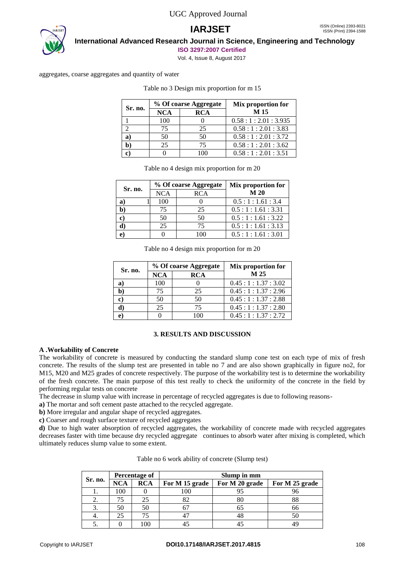

**International Advanced Research Journal in Science, Engineering and Technology**

**ISO 3297:2007 Certified**

Vol. 4, Issue 8, August 2017

aggregates, coarse aggregates and quantity of water

| Sr. no. |            | % Of coarse Aggregate | Mix proportion for |  |
|---------|------------|-----------------------|--------------------|--|
|         | <b>NCA</b> | <b>RCA</b>            | M 15               |  |
|         | 100        |                       | 0.58:1:2.01:3.935  |  |
|         | 75         | 25                    | 0.58:1:2.01:3.83   |  |
| a)      | 50         | 50                    | 0.58:1:2.01:3.72   |  |
|         | 25         | 75                    | 0.58:1:2.01:3.62   |  |
| r       |            | 100                   | 0.58:1:2.01:3.51   |  |

Table no 3 Design mix proportion for m 15

|                |            | % Of coarse Aggregate | Mix proportion for |  |
|----------------|------------|-----------------------|--------------------|--|
| Sr. no.        | <b>NCA</b> | <b>RCA</b>            | M 20               |  |
| a <sub>l</sub> | 100        |                       | 0.5:1:1.61:3.4     |  |
| b              | 75         | 25                    | 0.5:1:1.61:3.31    |  |
| e)             | 50         | 50                    | 0.5:1:1.61:3.22    |  |
|                | 25         | 75                    | 0.5:1:1.61:3.13    |  |
|                |            | 100                   | 0.5:1:1.61:3.01    |  |

Table no 4 design mix proportion for m 20

| Sr. no. |            | % Of coarse Aggregate | Mix proportion for |  |
|---------|------------|-----------------------|--------------------|--|
|         | <b>NCA</b> | <b>RCA</b>            | M 25               |  |
| a)      | 100        |                       | 0.45:1:1.37:3.02   |  |
|         | 75         | 25                    | 0.45:1:1.37:2.96   |  |
| G)      | 50         | 50                    | 0.45:1:1.37:2.88   |  |
|         | 25         | 75                    | 0.45:1:1.37:2.80   |  |
|         |            | 100                   | 0.45:1:1.37:2.72   |  |

#### **3. RESULTS AND DISCUSSION**

#### **A .Workability of Concrete**

The workability of concrete is measured by conducting the standard slump cone test on each type of mix of fresh concrete. The results of the slump test are presented in table no 7 and are also shown graphically in figure no2, for M15, M20 and M25 grades of concrete respectively. The purpose of the workability test is to determine the workability of the fresh concrete. The main purpose of this test really to check the uniformity of the concrete in the field by performing regular tests on concrete

The decrease in slump value with increase in percentage of recycled aggregates is due to following reasons-

**a)** The mortar and soft cement paste attached to the recycled aggregate.

**b)** More irregular and angular shape of recycled aggregates.

**c)** Coarser and rough surface texture of recycled aggregates

**d)** Due to high water absorption of recycled aggregates, the workability of concrete made with recycled aggregates decreases faster with time because dry recycled aggregate continues to absorb water after mixing is completed, which ultimately reduces slump value to some extent.

|         | Percentage of |            | Slump in mm    |                |                |  |
|---------|---------------|------------|----------------|----------------|----------------|--|
| Sr. no. | <b>NCA</b>    | <b>RCA</b> | For M 15 grade | For M 20 grade | For M 25 grade |  |
| ı.      | 100           |            | 100            |                | ሃዕ             |  |
| 2.      | 75            |            | 82             | 80             | 88             |  |
| 3.      | 50            | 50         |                | ნა             | 66             |  |
| 4.      | 25            |            |                | 48             | 50             |  |
|         |               | 00         |                |                |                |  |

| Table no 6 work ability of concrete (Slump test) |  |  |  |  |  |  |
|--------------------------------------------------|--|--|--|--|--|--|
|--------------------------------------------------|--|--|--|--|--|--|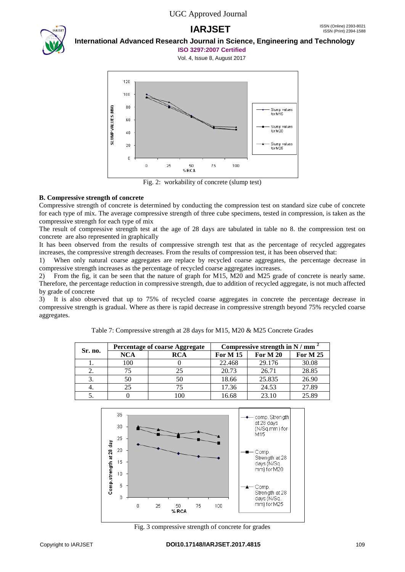

# **International Advanced Research Journal in Science, Engineering and Technology**

**ISO 3297:2007 Certified**





Fig. 2: workability of concrete (slump test)

### **B. Compressive strength of concrete**

Compressive strength of concrete is determined by conducting the compression test on standard size cube of concrete for each type of mix. The average compressive strength of three cube specimens, tested in compression, is taken as the compressive strength for each type of mix

The result of compressive strength test at the age of 28 days are tabulated in table no 8. the compression test on concrete are also represented in graphically

It has been observed from the results of compressive strength test that as the percentage of recycled aggregates increases, the compressive strength decreases. From the results of compression test, it has been observed that:

1) When only natural coarse aggregates are replace by recycled coarse aggregates, the percentage decrease in compressive strength increases as the percentage of recycled coarse aggregates increases.

2) From the fig, it can be seen that the nature of graph for M15, M20 and M25 grade of concrete is nearly same. Therefore, the percentage reduction in compressive strength, due to addition of recycled aggregate, is not much affected by grade of concrete

3) It is also observed that up to 75% of recycled coarse aggregates in concrete the percentage decrease in compressive strength is gradual. Where as there is rapid decrease in compressive strength beyond 75% recycled coarse aggregates.

| Sr. no. | Percentage of coarse Aggregate |            | Compressive strength in N / mm <sup>2</sup> |                 |          |
|---------|--------------------------------|------------|---------------------------------------------|-----------------|----------|
|         | <b>NCA</b>                     | <b>RCA</b> | <b>For M 15</b>                             | <b>For M 20</b> | For M 25 |
|         | 100                            |            | 22.468                                      | 29.176          | 30.08    |
| 2.      |                                | 25         | 20.73                                       | 26.71           | 28.85    |
| 3.      | 50                             | 50         | 18.66                                       | 25.835          | 26.90    |
| 4.      |                                | 75         | 17.36                                       | 24.53           | 27.89    |
|         |                                | 100        | 16.68                                       | 23.10           | 25.89    |

Table 7: Compressive strength at 28 days for M15, M20 & M25 Concrete Grades



Fig. 3 compressive strength of concrete for grades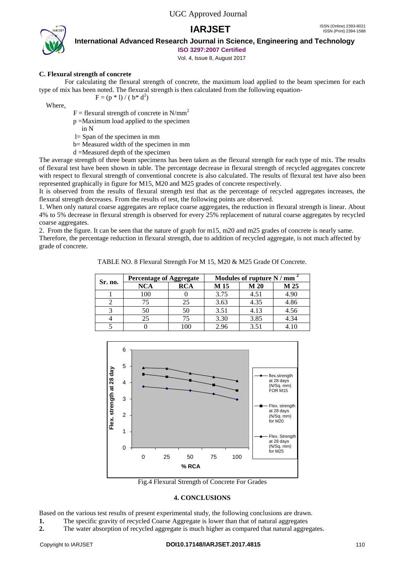



**International Advanced Research Journal in Science, Engineering and Technology**

**ISO 3297:2007 Certified**

Vol. 4, Issue 8, August 2017

# **C. Flexural strength of concrete**

For calculating the flexural strength of concrete, the maximum load applied to the beam specimen for each type of mix has been noted. The flexural strength is then calculated from the following equation-  $F = (p * 1) / (b * d^2)$ 

Where,

 $F =$  flexural strength of concrete in N/mm<sup>2</sup>

- p =Maximum load applied to the specimen
	- in N
- l= Span of the specimen in mm
- b= Measured width of the specimen in mm
- d =Measured depth of the specimen

The average strength of three beam specimens has been taken as the flexural strength for each type of mix. The results of flexural test have been shown in table. The percentage decrease in flexural strength of recycled aggregates concrete with respect to flexural strength of conventional concrete is also calculated. The results of flexural test have also been represented graphically in figure for M15, M20 and M25 grades of concrete respectively.

It is observed from the results of flexural strength test that as the percentage of recycled aggregates increases, the flexural strength decreases. From the results of test, the following points are observed.

1. When only natural coarse aggregates are replace coarse aggregates, the reduction in flexural strength is linear. About 4% to 5% decrease in flexural strength is observed for every 25% replacement of natural coarse aggregates by recycled coarse aggregates.

2. From the figure. It can be seen that the nature of graph for m15, m20 and m25 grades of concrete is nearly same. Therefore, the percentage reduction in flexural strength, due to addition of recycled aggregate, is not much affected by grade of concrete.

TABLE NO. 8 Flexural Strength For M 15, M20 & M25 Grade Of Concrete.

| Sr. no. | <b>Percentage of Aggregate</b> |            | Modules of rupture N / mm |      |      |
|---------|--------------------------------|------------|---------------------------|------|------|
|         | <b>NCA</b>                     | <b>RCA</b> | M 15                      | M 20 | M 25 |
|         | 100                            |            | 3.75                      | 4.51 | 4.90 |
|         |                                | 25         | 3.63                      | 4.35 | 4.86 |
|         | 50                             | 50         | 3.51                      | 4.13 | 4.56 |
|         | 25                             | 75         | 3.30                      | 3.85 | 4.34 |
|         |                                |            | 2.96                      | 3.51 |      |



Fig.4 Flexural Strength of Concrete For Grades

#### **4. CONCLUSIONS**

Based on the various test results of present experimental study, the following conclusions are drawn.

**1.** The specific gravity of recycled Coarse Aggregate is lower than that of natural aggregates

**2.** The water absorption of recycled aggregate is much higher as compared that natural aggregates.

#### Copyright to IARJSET **DOI10.17148/IARJSET.2017.4815** 110